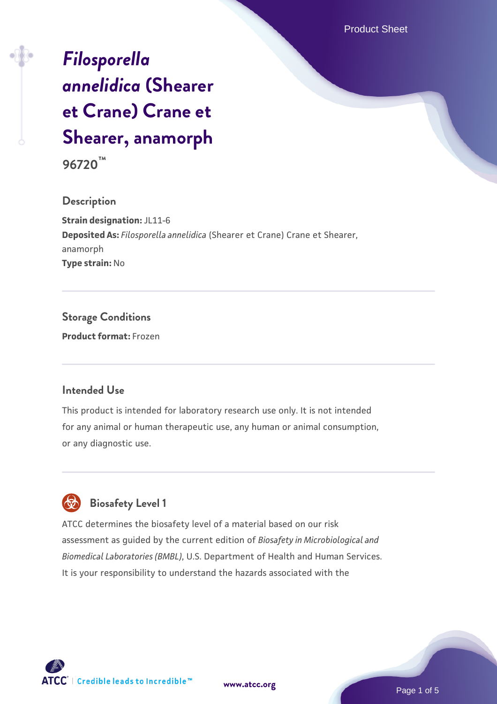# *[Filosporella](https://www.atcc.org/products/96720) [annelidica](https://www.atcc.org/products/96720)* **[\(Shearer](https://www.atcc.org/products/96720) [et Crane\) Crane et](https://www.atcc.org/products/96720) [Shearer, anamorph](https://www.atcc.org/products/96720)**

**96720™**

### **Description**

**Strain designation:** JL11-6 **Deposited As:** *Filosporella annelidica* (Shearer et Crane) Crane et Shearer, anamorph **Type strain:** No

### **Storage Conditions Product format:** Frozen

### **Intended Use**

This product is intended for laboratory research use only. It is not intended for any animal or human therapeutic use, any human or animal consumption, or any diagnostic use.



### **Biosafety Level 1**

ATCC determines the biosafety level of a material based on our risk assessment as guided by the current edition of *Biosafety in Microbiological and Biomedical Laboratories (BMBL)*, U.S. Department of Health and Human Services. It is your responsibility to understand the hazards associated with the



**[www.atcc.org](http://www.atcc.org)**

Page 1 of 5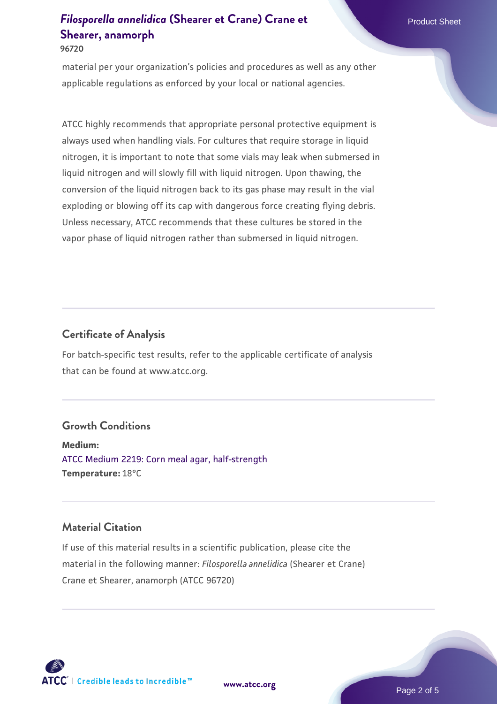#### **96720**

material per your organization's policies and procedures as well as any other applicable regulations as enforced by your local or national agencies.

ATCC highly recommends that appropriate personal protective equipment is always used when handling vials. For cultures that require storage in liquid nitrogen, it is important to note that some vials may leak when submersed in liquid nitrogen and will slowly fill with liquid nitrogen. Upon thawing, the conversion of the liquid nitrogen back to its gas phase may result in the vial exploding or blowing off its cap with dangerous force creating flying debris. Unless necessary, ATCC recommends that these cultures be stored in the vapor phase of liquid nitrogen rather than submersed in liquid nitrogen.

### **Certificate of Analysis**

For batch-specific test results, refer to the applicable certificate of analysis that can be found at www.atcc.org.

### **Growth Conditions**

**Medium:**  [ATCC Medium 2219: Corn meal agar, half-strength](https://www.atcc.org/-/media/product-assets/documents/microbial-media-formulations/2/2/1/9/atcc-medium-2219.pdf?rev=56941740a8e44ef5b0ad065230bb5acc) **Temperature:** 18°C

### **Material Citation**

If use of this material results in a scientific publication, please cite the material in the following manner: *Filosporella annelidica* (Shearer et Crane) Crane et Shearer, anamorph (ATCC 96720)

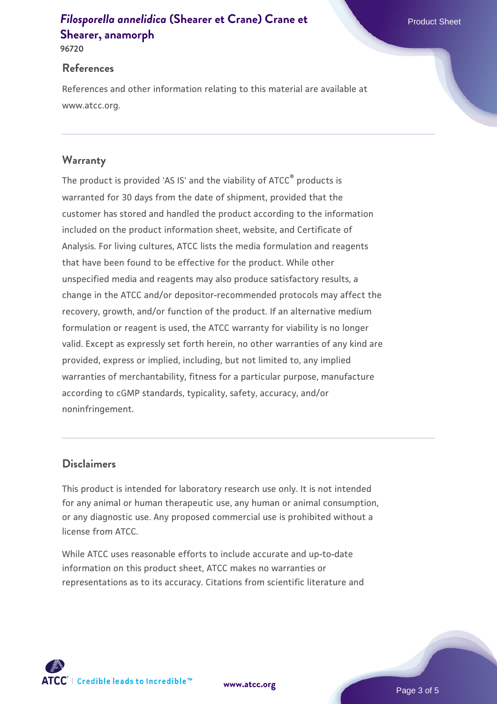**96720**

#### **References**

References and other information relating to this material are available at www.atcc.org.

### **Warranty**

The product is provided 'AS IS' and the viability of ATCC® products is warranted for 30 days from the date of shipment, provided that the customer has stored and handled the product according to the information included on the product information sheet, website, and Certificate of Analysis. For living cultures, ATCC lists the media formulation and reagents that have been found to be effective for the product. While other unspecified media and reagents may also produce satisfactory results, a change in the ATCC and/or depositor-recommended protocols may affect the recovery, growth, and/or function of the product. If an alternative medium formulation or reagent is used, the ATCC warranty for viability is no longer valid. Except as expressly set forth herein, no other warranties of any kind are provided, express or implied, including, but not limited to, any implied warranties of merchantability, fitness for a particular purpose, manufacture according to cGMP standards, typicality, safety, accuracy, and/or noninfringement.

### **Disclaimers**

This product is intended for laboratory research use only. It is not intended for any animal or human therapeutic use, any human or animal consumption, or any diagnostic use. Any proposed commercial use is prohibited without a license from ATCC.

While ATCC uses reasonable efforts to include accurate and up-to-date information on this product sheet, ATCC makes no warranties or representations as to its accuracy. Citations from scientific literature and

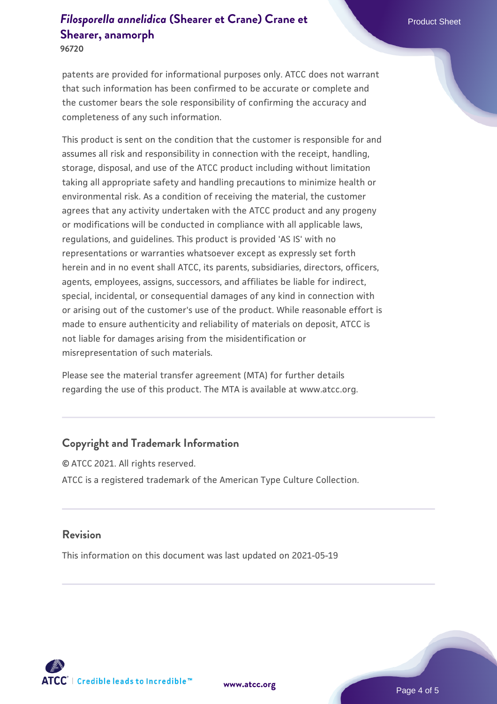**96720**

patents are provided for informational purposes only. ATCC does not warrant that such information has been confirmed to be accurate or complete and the customer bears the sole responsibility of confirming the accuracy and completeness of any such information.

This product is sent on the condition that the customer is responsible for and assumes all risk and responsibility in connection with the receipt, handling, storage, disposal, and use of the ATCC product including without limitation taking all appropriate safety and handling precautions to minimize health or environmental risk. As a condition of receiving the material, the customer agrees that any activity undertaken with the ATCC product and any progeny or modifications will be conducted in compliance with all applicable laws, regulations, and guidelines. This product is provided 'AS IS' with no representations or warranties whatsoever except as expressly set forth herein and in no event shall ATCC, its parents, subsidiaries, directors, officers, agents, employees, assigns, successors, and affiliates be liable for indirect, special, incidental, or consequential damages of any kind in connection with or arising out of the customer's use of the product. While reasonable effort is made to ensure authenticity and reliability of materials on deposit, ATCC is not liable for damages arising from the misidentification or misrepresentation of such materials.

Please see the material transfer agreement (MTA) for further details regarding the use of this product. The MTA is available at www.atcc.org.

### **Copyright and Trademark Information**

© ATCC 2021. All rights reserved. ATCC is a registered trademark of the American Type Culture Collection.

#### **Revision**

This information on this document was last updated on 2021-05-19



**[www.atcc.org](http://www.atcc.org)**